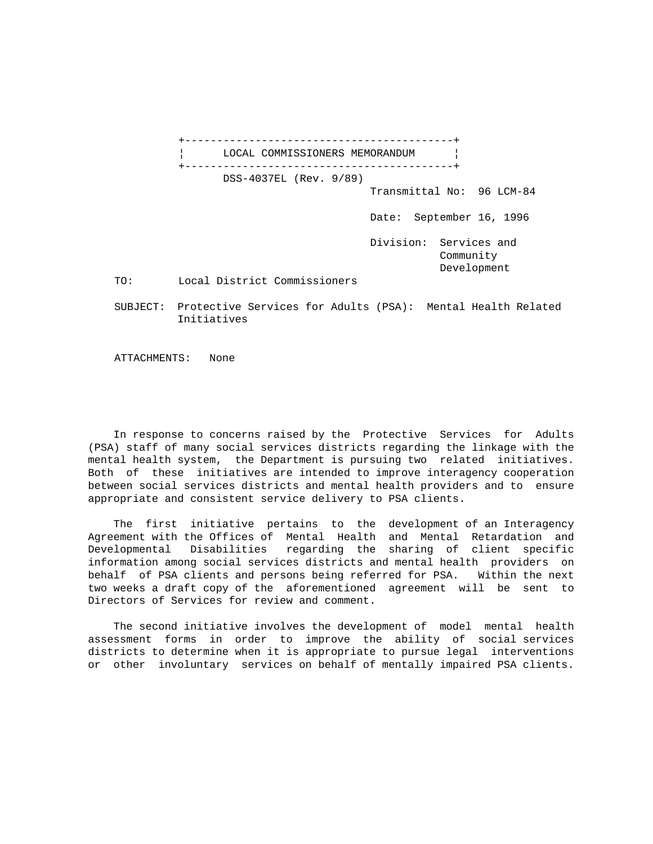|          | _______________________________                                            |
|----------|----------------------------------------------------------------------------|
|          | LOCAL COMMISSIONERS MEMORANDUM                                             |
|          | DSS-4037EL (Rev. 9/89)<br>Transmittal No: 96 LCM-84                        |
|          | Date: September 16, 1996                                                   |
|          | Division: Services and<br>Community<br>Development                         |
| TO:      | Local District Commissioners                                               |
| SUBJECT: | Protective Services for Adults (PSA): Mental Health Related<br>Initiatives |

ATTACHMENTS: None

 In response to concerns raised by the Protective Services for Adults (PSA) staff of many social services districts regarding the linkage with the mental health system, the Department is pursuing two related initiatives. Both of these initiatives are intended to improve interagency cooperation between social services districts and mental health providers and to ensure appropriate and consistent service delivery to PSA clients.

 The first initiative pertains to the development of an Interagency Agreement with the Offices of Mental Health and Mental Retardation and Developmental Disabilities regarding the sharing of client specific information among social services districts and mental health providers on behalf of PSA clients and persons being referred for PSA. Within the next two weeks a draft copy of the aforementioned agreement will be sent to Directors of Services for review and comment.

 The second initiative involves the development of model mental health assessment forms in order to improve the ability of social services districts to determine when it is appropriate to pursue legal interventions or other involuntary services on behalf of mentally impaired PSA clients.